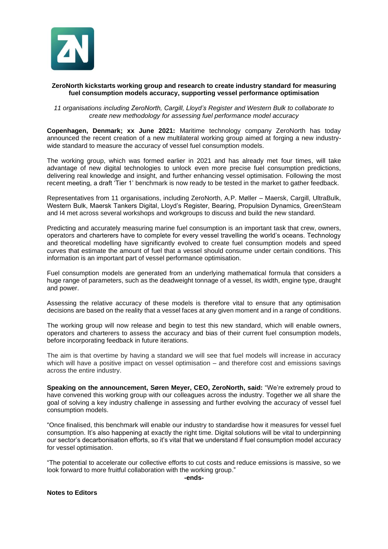

## **ZeroNorth kickstarts working group and research to create industry standard for measuring fuel consumption models accuracy, supporting vessel performance optimisation**

*11 organisations including ZeroNorth, Cargill, Lloyd's Register and Western Bulk to collaborate to create new methodology for assessing fuel performance model accuracy*

**Copenhagen, Denmark; xx June 2021:** Maritime technology company ZeroNorth has today announced the recent creation of a new multilateral working group aimed at forging a new industrywide standard to measure the accuracy of vessel fuel consumption models.

The working group, which was formed earlier in 2021 and has already met four times, will take advantage of new digital technologies to unlock even more precise fuel consumption predictions, delivering real knowledge and insight, and further enhancing vessel optimisation. Following the most recent meeting, a draft 'Tier 1' benchmark is now ready to be tested in the market to gather feedback.

Representatives from 11 organisations, including ZeroNorth, A.P. Møller – Maersk, Cargill, UltraBulk, Western Bulk, Maersk Tankers Digital, Lloyd's Register, Bearing, Propulsion Dynamics, GreenSteam and I4 met across several workshops and workgroups to discuss and build the new standard.

Predicting and accurately measuring marine fuel consumption is an important task that crew, owners, operators and charterers have to complete for every vessel travelling the world's oceans. Technology and theoretical modelling have significantly evolved to create fuel consumption models and speed curves that estimate the amount of fuel that a vessel should consume under certain conditions. This information is an important part of vessel performance optimisation.

Fuel consumption models are generated from an underlying mathematical formula that considers a huge range of parameters, such as the deadweight tonnage of a vessel, its width, engine type, draught and power.

Assessing the relative accuracy of these models is therefore vital to ensure that any optimisation decisions are based on the reality that a vessel faces at any given moment and in a range of conditions.

The working group will now release and begin to test this new standard, which will enable owners, operators and charterers to assess the accuracy and bias of their current fuel consumption models, before incorporating feedback in future iterations.

The aim is that overtime by having a standard we will see that fuel models will increase in accuracy which will have a positive impact on vessel optimisation – and therefore cost and emissions savings across the entire industry.

**Speaking on the announcement, Søren Meyer, CEO, ZeroNorth, said:** "We're extremely proud to have convened this working group with our colleagues across the industry. Together we all share the goal of solving a key industry challenge in assessing and further evolving the accuracy of vessel fuel consumption models.

"Once finalised, this benchmark will enable our industry to standardise how it measures for vessel fuel consumption. It's also happening at exactly the right time. Digital solutions will be vital to underpinning our sector's decarbonisation efforts, so it's vital that we understand if fuel consumption model accuracy for vessel optimisation.

"The potential to accelerate our collective efforts to cut costs and reduce emissions is massive, so we look forward to more fruitful collaboration with the working group."

**-ends-**

**Notes to Editors**